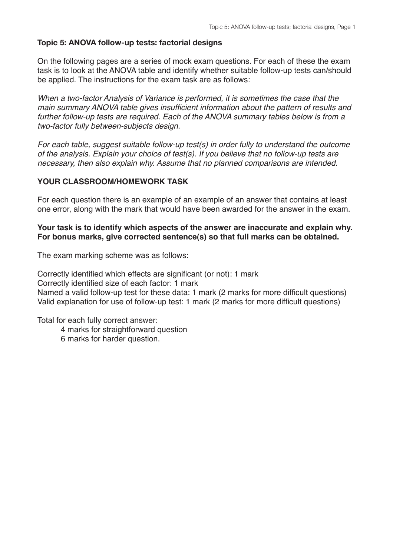### **Topic 5: ANOVA follow-up tests: factorial designs**

On the following pages are a series of mock exam questions. For each of these the exam task is to look at the ANOVA table and identify whether suitable follow-up tests can/should be applied. The instructions for the exam task are as follows:

*When a two-factor Analysis of Variance is performed, it is sometimes the case that the main summary ANOVA table gives insufficient information about the pattern of results and further follow-up tests are required. Each of the ANOVA summary tables below is from a two-factor fully between-subjects design.*

*For each table, suggest suitable follow-up test(s) in order fully to understand the outcome of the analysis. Explain your choice of test(s). If you believe that no follow-up tests are necessary, then also explain why. Assume that no planned comparisons are intended.*

### **YOUR CLASSROOM/HOMEWORK TASK**

For each question there is an example of an example of an answer that contains at least one error, along with the mark that would have been awarded for the answer in the exam.

#### **Your task is to identify which aspects of the answer are inaccurate and explain why. For bonus marks, give corrected sentence(s) so that full marks can be obtained.**

The exam marking scheme was as follows:

Correctly identified which effects are significant (or not): 1 mark Correctly identified size of each factor: 1 mark Named a valid follow-up test for these data: 1 mark (2 marks for more difficult questions) Valid explanation for use of follow-up test: 1 mark (2 marks for more difficult questions)

Total for each fully correct answer:

- 4 marks for straightforward question
- 6 marks for harder question.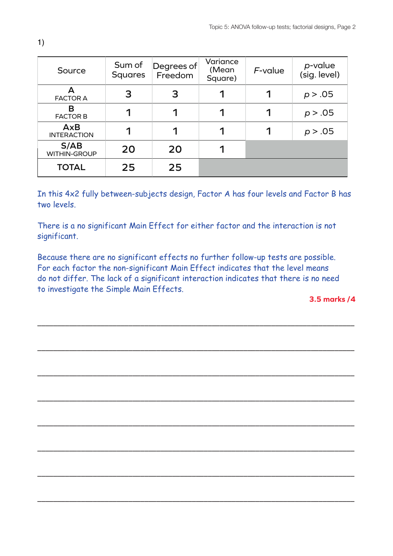| Source                           | Sum of<br><b>Squares</b> | Degrees of<br>Freedom | Variance<br>(Mean<br>Square) | $F$ -value | p-value<br>(sig. level) |
|----------------------------------|--------------------------|-----------------------|------------------------------|------------|-------------------------|
| А<br><b>FACTOR A</b>             | 3                        | 3                     | 1                            |            | p > .05                 |
| В<br><b>FACTOR B</b>             | 1                        | 1                     | 1                            | 1          | p > .05                 |
| <b>AxB</b><br><b>INTERACTION</b> |                          |                       |                              |            | p > .05                 |
| S/AB<br><b>WITHIN-GROUP</b>      | 20                       | 20                    |                              |            |                         |
| <b>TOTAL</b>                     | 25                       | 25                    |                              |            |                         |

In this 4x2 fully between-subjects design, Factor A has four levels and Factor B has two levels.

There is a no significant Main Effect for either factor and the interaction is not significant.

Because there are no significant effects no further follow-up tests are possible. For each factor the non-significant Main Effect indicates that the level means do not differ. The lack of a significant interaction indicates that there is no need to investigate the Simple Main Effects.

––––––––––––––––––––––––––––––––––––––––––––––––––––––––––––––––––––––––––––––––

––––––––––––––––––––––––––––––––––––––––––––––––––––––––––––––––––––––––––––––––

––––––––––––––––––––––––––––––––––––––––––––––––––––––––––––––––––––––––––––––––

––––––––––––––––––––––––––––––––––––––––––––––––––––––––––––––––––––––––––––––––

––––––––––––––––––––––––––––––––––––––––––––––––––––––––––––––––––––––––––––––––

––––––––––––––––––––––––––––––––––––––––––––––––––––––––––––––––––––––––––––––––

––––––––––––––––––––––––––––––––––––––––––––––––––––––––––––––––––––––––––––––––

––––––––––––––––––––––––––––––––––––––––––––––––––––––––––––––––––––––––––––––––

**3.5 marks /4**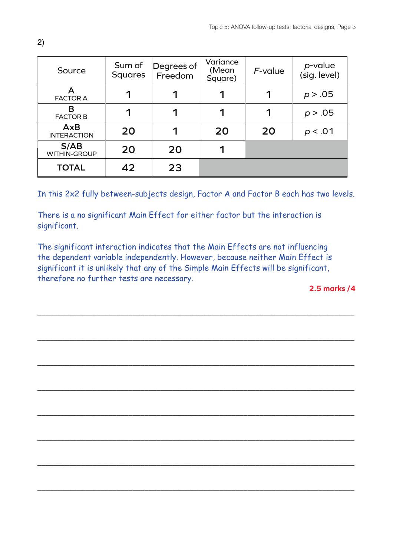| Source                           | Sum of<br><b>Squares</b> | Degrees of<br>Freedom | Variance<br>(Mean<br>Square) | $F$ -value | p-value<br>(sig. level) |
|----------------------------------|--------------------------|-----------------------|------------------------------|------------|-------------------------|
| А<br><b>FACTOR A</b>             |                          |                       | 1                            | ◀          | p > .05                 |
| В<br><b>FACTOR B</b>             | 1                        | 1                     | 1                            | 1          | p > .05                 |
| <b>AxB</b><br><b>INTERACTION</b> | 20                       |                       | 20                           | 20         | p < .01                 |
| S/AB<br><b>WITHIN-GROUP</b>      | 20                       | 20                    | 1                            |            |                         |
| <b>TOTAL</b>                     | 42                       | 23                    |                              |            |                         |

In this 2x2 fully between-subjects design, Factor A and Factor B each has two levels.

There is a no significant Main Effect for either factor but the interaction is significant.

The significant interaction indicates that the Main Effects are not influencing the dependent variable independently. However, because neither Main Effect is significant it is unlikely that any of the Simple Main Effects will be significant, therefore no further tests are necessary.

––––––––––––––––––––––––––––––––––––––––––––––––––––––––––––––––––––––––––––––––

––––––––––––––––––––––––––––––––––––––––––––––––––––––––––––––––––––––––––––––––

––––––––––––––––––––––––––––––––––––––––––––––––––––––––––––––––––––––––––––––––

––––––––––––––––––––––––––––––––––––––––––––––––––––––––––––––––––––––––––––––––

––––––––––––––––––––––––––––––––––––––––––––––––––––––––––––––––––––––––––––––––

––––––––––––––––––––––––––––––––––––––––––––––––––––––––––––––––––––––––––––––––

––––––––––––––––––––––––––––––––––––––––––––––––––––––––––––––––––––––––––––––––

––––––––––––––––––––––––––––––––––––––––––––––––––––––––––––––––––––––––––––––––

**2.5 marks /4**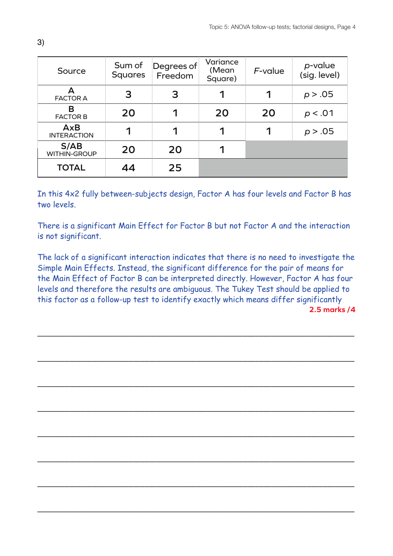| Source                      | Sum of<br><b>Squares</b> | Degrees of<br>Freedom | Variance<br>(Mean<br>Square) | $F$ -value | p-value<br>(sig. level) |
|-----------------------------|--------------------------|-----------------------|------------------------------|------------|-------------------------|
| А<br><b>FACTOR A</b>        | 3                        | 3                     | 1                            |            | p > .05                 |
| В<br><b>FACTOR B</b>        | 20                       | 1                     | 20                           | 20         | p < .01                 |
| AxB<br><b>INTERACTION</b>   |                          |                       |                              |            | p > .05                 |
| S/AB<br><b>WITHIN-GROUP</b> | 20                       | 20                    | 1                            |            |                         |
| <b>TOTAL</b>                | 44                       | 25                    |                              |            |                         |

In this 4x2 fully between-subjects design, Factor A has four levels and Factor B has two levels.

There is a significant Main Effect for Factor B but not Factor A and the interaction is not significant.

The lack of a significant interaction indicates that there is no need to investigate the Simple Main Effects. Instead, the significant difference for the pair of means for the Main Effect of Factor B can be interpreted directly. However, Factor A has four levels and therefore the results are ambiguous. The Tukey Test should be applied to this factor as a follow-up test to identify exactly which means differ significantly **2.5 marks /4**

––––––––––––––––––––––––––––––––––––––––––––––––––––––––––––––––––––––––––––––––

––––––––––––––––––––––––––––––––––––––––––––––––––––––––––––––––––––––––––––––––

––––––––––––––––––––––––––––––––––––––––––––––––––––––––––––––––––––––––––––––––

––––––––––––––––––––––––––––––––––––––––––––––––––––––––––––––––––––––––––––––––

––––––––––––––––––––––––––––––––––––––––––––––––––––––––––––––––––––––––––––––––

––––––––––––––––––––––––––––––––––––––––––––––––––––––––––––––––––––––––––––––––

––––––––––––––––––––––––––––––––––––––––––––––––––––––––––––––––––––––––––––––––

––––––––––––––––––––––––––––––––––––––––––––––––––––––––––––––––––––––––––––––––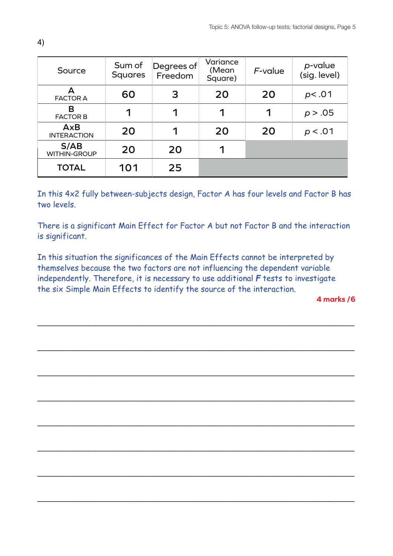| Source                           | Sum of<br><b>Squares</b> | Degrees of<br>Freedom | Variance<br>(Mean<br>Square) | $F$ -value | p-value<br>(sig. level) |
|----------------------------------|--------------------------|-----------------------|------------------------------|------------|-------------------------|
| А<br><b>FACTOR A</b>             | 60                       | 3                     | 20                           | 20         | p<.01                   |
| В<br><b>FACTOR B</b>             | 1                        | ◀                     | 1                            | 1          | p > .05                 |
| <b>AxB</b><br><b>INTERACTION</b> | 20                       |                       | 20                           | 20         | p < .01                 |
| S/AB<br><b>WITHIN-GROUP</b>      | 20                       | 20                    | 1                            |            |                         |
| <b>TOTAL</b>                     | 101                      | 25                    |                              |            |                         |

In this 4x2 fully between-subjects design, Factor A has four levels and Factor B has two levels.

There is a significant Main Effect for Factor A but not Factor B and the interaction is significant.

In this situation the significances of the Main Effects cannot be interpreted by themselves because the two factors are not influencing the dependent variable independently. Therefore, it is necessary to use additional *F* tests to investigate the six Simple Main Effects to identify the source of the interaction.

––––––––––––––––––––––––––––––––––––––––––––––––––––––––––––––––––––––––––––––––

––––––––––––––––––––––––––––––––––––––––––––––––––––––––––––––––––––––––––––––––

––––––––––––––––––––––––––––––––––––––––––––––––––––––––––––––––––––––––––––––––

––––––––––––––––––––––––––––––––––––––––––––––––––––––––––––––––––––––––––––––––

––––––––––––––––––––––––––––––––––––––––––––––––––––––––––––––––––––––––––––––––

––––––––––––––––––––––––––––––––––––––––––––––––––––––––––––––––––––––––––––––––

––––––––––––––––––––––––––––––––––––––––––––––––––––––––––––––––––––––––––––––––

––––––––––––––––––––––––––––––––––––––––––––––––––––––––––––––––––––––––––––––––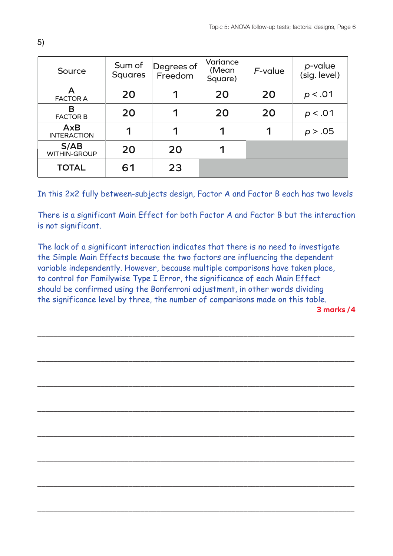| Source                      | Sum of<br><b>Squares</b> | Degrees of<br>Freedom | Variance<br>(Mean)<br>Square) | $F$ -value | p-value<br>(sig. level) |
|-----------------------------|--------------------------|-----------------------|-------------------------------|------------|-------------------------|
| А<br><b>FACTOR A</b>        | 20                       |                       | 20                            | 20         | p < .01                 |
| В<br><b>FACTOR B</b>        | 20                       | 1                     | 20                            | 20         | p < .01                 |
| AxB<br><b>INTERACTION</b>   | 1                        |                       | 1                             | 1          | p > .05                 |
| S/AB<br><b>WITHIN-GROUP</b> | 20                       | 20                    | 1                             |            |                         |
| <b>TOTAL</b>                | 61                       | 23                    |                               |            |                         |

In this 2x2 fully between-subjects design, Factor A and Factor B each has two levels

There is a significant Main Effect for both Factor A and Factor B but the interaction is not significant.

The lack of a significant interaction indicates that there is no need to investigate the Simple Main Effects because the two factors are influencing the dependent variable independently. However, because multiple comparisons have taken place, to control for Familywise Type I Error, the significance of each Main Effect should be confirmed using the Bonferroni adjustment, in other words dividing the significance level by three, the number of comparisons made on this table.

––––––––––––––––––––––––––––––––––––––––––––––––––––––––––––––––––––––––––––––––

––––––––––––––––––––––––––––––––––––––––––––––––––––––––––––––––––––––––––––––––

––––––––––––––––––––––––––––––––––––––––––––––––––––––––––––––––––––––––––––––––

––––––––––––––––––––––––––––––––––––––––––––––––––––––––––––––––––––––––––––––––

––––––––––––––––––––––––––––––––––––––––––––––––––––––––––––––––––––––––––––––––

––––––––––––––––––––––––––––––––––––––––––––––––––––––––––––––––––––––––––––––––

––––––––––––––––––––––––––––––––––––––––––––––––––––––––––––––––––––––––––––––––

––––––––––––––––––––––––––––––––––––––––––––––––––––––––––––––––––––––––––––––––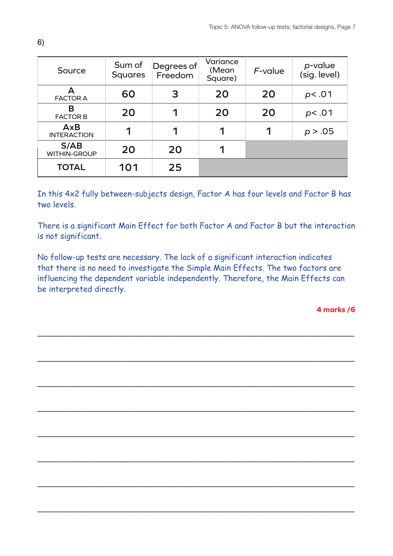| Source                      | Sum of<br><b>Squares</b> | Degrees of<br>Freedom | Variance<br>(Mean<br>Square) | $F$ -value | p-value<br>(sig. level) |
|-----------------------------|--------------------------|-----------------------|------------------------------|------------|-------------------------|
| А<br><b>FACTOR A</b>        | 60                       | 3                     | 20                           | 20         | p<.01                   |
| В<br><b>FACTOR B</b>        | 20                       | ◀                     | 20                           | 20         | p<.01                   |
| AxB<br><b>INTERACTION</b>   | 1                        |                       |                              |            | p > .05                 |
| S/AB<br><b>WITHIN-GROUP</b> | 20                       | 20                    | 1                            |            |                         |
| <b>TOTAL</b>                | 101                      | 25                    |                              |            |                         |

In this 4x2 fully between-subjects design, Factor A has four levels and Factor B has two levels.

There is a significant Main Effect for both Factor A and Factor B but the interaction is not significant.

No follow-up tests are necessary. The lack of a significant interaction indicates that there is no need to investigate the Simple Main Effects. The two factors are influencing the dependent variable independently. Therefore, the Main Effects can be interpreted directly.

––––––––––––––––––––––––––––––––––––––––––––––––––––––––––––––––––––––––––––––––

––––––––––––––––––––––––––––––––––––––––––––––––––––––––––––––––––––––––––––––––

––––––––––––––––––––––––––––––––––––––––––––––––––––––––––––––––––––––––––––––––

––––––––––––––––––––––––––––––––––––––––––––––––––––––––––––––––––––––––––––––––

––––––––––––––––––––––––––––––––––––––––––––––––––––––––––––––––––––––––––––––––

––––––––––––––––––––––––––––––––––––––––––––––––––––––––––––––––––––––––––––––––

––––––––––––––––––––––––––––––––––––––––––––––––––––––––––––––––––––––––––––––––

––––––––––––––––––––––––––––––––––––––––––––––––––––––––––––––––––––––––––––––––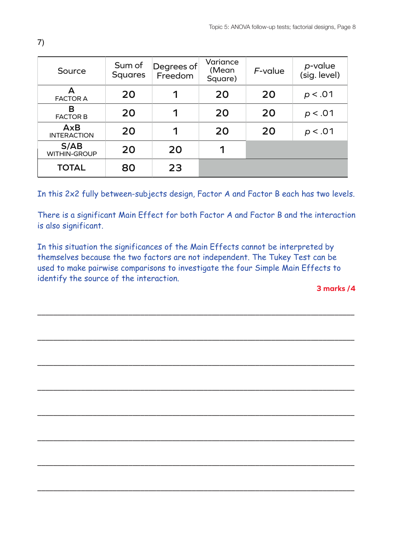| Source                    | Sum of<br><b>Squares</b> | Degrees of<br>Freedom | Variance<br>(Mean)<br>Square) | $F$ -value | p-value<br>(sig. level) |
|---------------------------|--------------------------|-----------------------|-------------------------------|------------|-------------------------|
| А<br><b>FACTOR A</b>      | 20                       |                       | 20                            | 20         | p < .01                 |
| В<br><b>FACTOR B</b>      | 20                       | 1                     | 20                            | 20         | p < .01                 |
| AxB<br><b>INTERACTION</b> | 20                       |                       | 20                            | 20         | p < .01                 |
| S/AB<br>WITHIN-GROUP      | 20                       | 20                    | 1                             |            |                         |
| <b>TOTAL</b>              | 80                       | 23                    |                               |            |                         |

In this 2x2 fully between-subjects design, Factor A and Factor B each has two levels.

There is a significant Main Effect for both Factor A and Factor B and the interaction is also significant.

In this situation the significances of the Main Effects cannot be interpreted by themselves because the two factors are not independent. The Tukey Test can be used to make pairwise comparisons to investigate the four Simple Main Effects to identify the source of the interaction.

––––––––––––––––––––––––––––––––––––––––––––––––––––––––––––––––––––––––––––––––

––––––––––––––––––––––––––––––––––––––––––––––––––––––––––––––––––––––––––––––––

––––––––––––––––––––––––––––––––––––––––––––––––––––––––––––––––––––––––––––––––

––––––––––––––––––––––––––––––––––––––––––––––––––––––––––––––––––––––––––––––––

––––––––––––––––––––––––––––––––––––––––––––––––––––––––––––––––––––––––––––––––

––––––––––––––––––––––––––––––––––––––––––––––––––––––––––––––––––––––––––––––––

––––––––––––––––––––––––––––––––––––––––––––––––––––––––––––––––––––––––––––––––

––––––––––––––––––––––––––––––––––––––––––––––––––––––––––––––––––––––––––––––––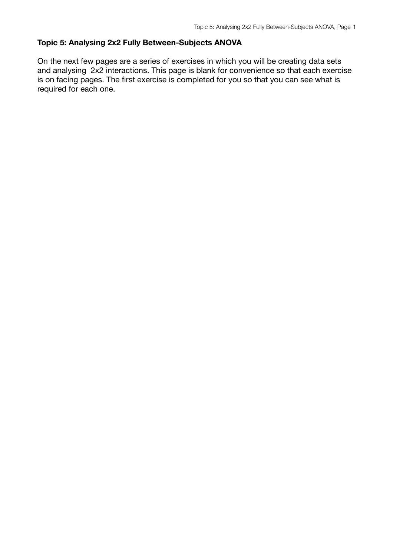### **Topic 5: Analysing 2x2 Fully Between-Subjects ANOVA**

On the next few pages are a series of exercises in which you will be creating data sets and analysing 2x2 interactions. This page is blank for convenience so that each exercise is on facing pages. The first exercise is completed for you so that you can see what is required for each one.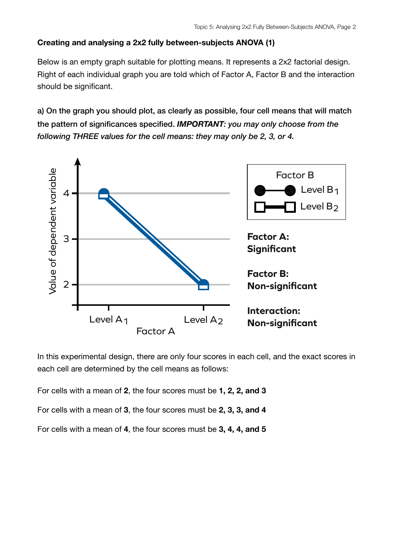# **Creating and analysing a 2x2 fully between-subjects ANOVA (1)**

Below is an empty graph suitable for plotting means. It represents a 2x2 factorial design. Right of each individual graph you are told which of Factor A, Factor B and the interaction should be significant.

a) On the graph you should plot, as clearly as possible, four cell means that will match the pattern of significances specified. *IMPORTANT: you may only choose from the following THREE values for the cell means: they may only be 2, 3, or 4.*



In this experimental design, there are only four scores in each cell, and the exact scores in each cell are determined by the cell means as follows:

For cells with a mean of **2**, the four scores must be **1, 2, 2, and 3**

For cells with a mean of **3**, the four scores must be **2, 3, 3, and 4**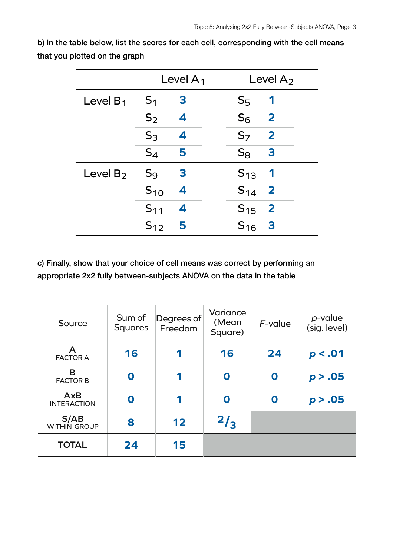|             |                | Level $A_1$ | Level $A_2$                         |  |
|-------------|----------------|-------------|-------------------------------------|--|
| Level $B_1$ | S <sub>1</sub> | 3           | $S_5$<br>1                          |  |
|             | $S_2$          | 4           | $S_6$<br>$\overline{\mathbf{2}}$    |  |
|             | $S_3$          | 4           | $\overline{\mathbf{2}}$<br>$S_7$    |  |
|             | $S_4$          | 5           | $S_8$<br>3                          |  |
| Level $B_2$ | $S_9$          | 3           | $S_{13}$<br>1                       |  |
|             | $S_{10}$       | 4           | $S_{14}$<br>$\overline{\mathbf{2}}$ |  |
|             | $S_{11}$       | 4           | $\overline{\mathbf{2}}$<br>$S_{15}$ |  |
|             | $S_{12}$       | 5           | 3<br>$S_{16}$                       |  |

| Source                           | Sum of<br><b>Squares</b> | Degrees of<br>Freedom | Variance<br>(Mean<br>Square) | $F$ -value | p-value<br>(sig. level) |
|----------------------------------|--------------------------|-----------------------|------------------------------|------------|-------------------------|
| Δ<br><b>FACTOR A</b>             | 16                       | 1                     | 16                           | 24         | p < .01                 |
| B<br><b>FACTOR B</b>             | O                        | 1                     | O                            | 0          | p > .05                 |
| <b>AxB</b><br><b>INTERACTION</b> | O                        | 1                     | 0                            | O          | p > .05                 |
| S/AB<br><b>WITHIN-GROUP</b>      | 8                        | 12                    | $^{2}/_{3}$                  |            |                         |
| <b>TOTAL</b>                     | 24                       | 15                    |                              |            |                         |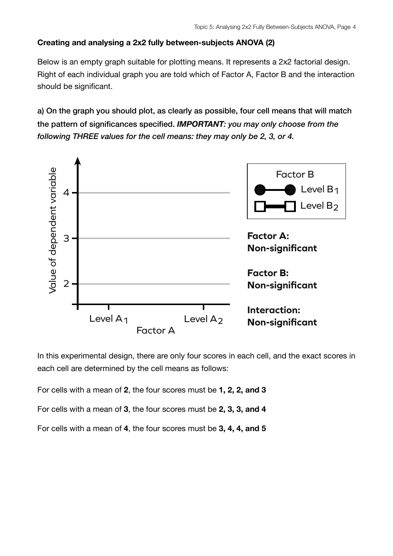# **Creating and analysing a 2x2 fully between-subjects ANOVA (2)**

Below is an empty graph suitable for plotting means. It represents a 2x2 factorial design. Right of each individual graph you are told which of Factor A, Factor B and the interaction should be significant.

a) On the graph you should plot, as clearly as possible, four cell means that will match the pattern of significances specified. *IMPORTANT: you may only choose from the following THREE values for the cell means: they may only be 2, 3, or 4.*



In this experimental design, there are only four scores in each cell, and the exact scores in each cell are determined by the cell means as follows:

For cells with a mean of **2**, the four scores must be **1, 2, 2, and 3**

For cells with a mean of **3**, the four scores must be **2, 3, 3, and 4**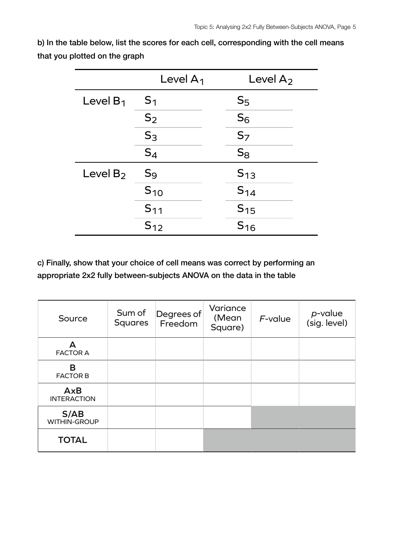|             | Level $A_1$      | Level $A_2$    |
|-------------|------------------|----------------|
| Level $B_1$ | S <sub>1</sub>   | S <sub>5</sub> |
|             | $S_2$            | $S_6$          |
|             | $S_3$            | S <sub>7</sub> |
|             | $S_4$            | $S_8$          |
| Level $B_2$ | $\mathsf{S}_{9}$ | $S_{13}$       |
|             | $S_{10}$         | $S_{14}$       |
|             | $S_{11}$         | $S_{15}$       |
|             | $S_{12}$         | $S_{16}$       |

| Source                           | Sum of<br><b>Squares</b> | Degrees of<br>Freedom | Variance<br>(Mean<br>Square) | $F$ -value | p-value<br>(sig. level) |
|----------------------------------|--------------------------|-----------------------|------------------------------|------------|-------------------------|
| А<br><b>FACTOR A</b>             |                          |                       |                              |            |                         |
| B<br><b>FACTOR B</b>             |                          |                       |                              |            |                         |
| <b>AxB</b><br><b>INTERACTION</b> |                          |                       |                              |            |                         |
| S/AB<br>WITHIN-GROUP             |                          |                       |                              |            |                         |
| <b>TOTAL</b>                     |                          |                       |                              |            |                         |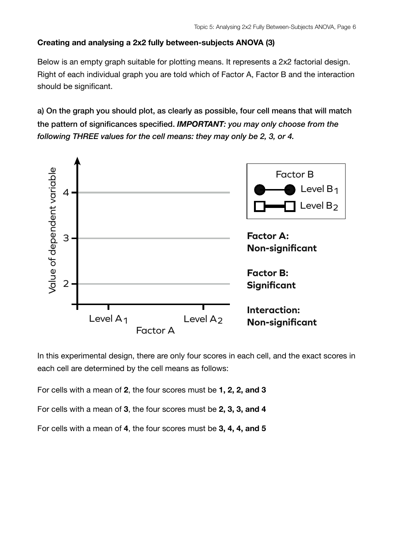# **Creating and analysing a 2x2 fully between-subjects ANOVA (3)**

Below is an empty graph suitable for plotting means. It represents a 2x2 factorial design. Right of each individual graph you are told which of Factor A, Factor B and the interaction should be significant.

a) On the graph you should plot, as clearly as possible, four cell means that will match the pattern of significances specified. *IMPORTANT: you may only choose from the following THREE values for the cell means: they may only be 2, 3, or 4.*



In this experimental design, there are only four scores in each cell, and the exact scores in each cell are determined by the cell means as follows:

For cells with a mean of **2**, the four scores must be **1, 2, 2, and 3**

For cells with a mean of **3**, the four scores must be **2, 3, 3, and 4**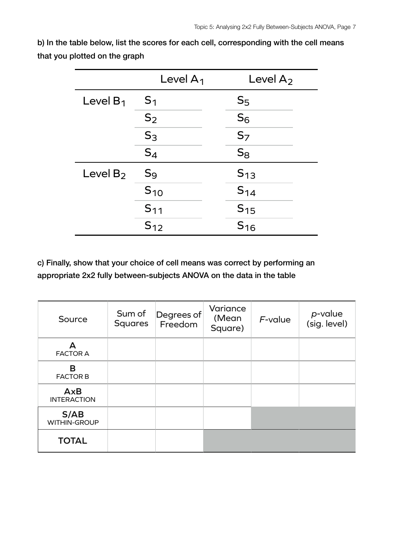|             | Level $A_1$      | Level $A_2$    |
|-------------|------------------|----------------|
| Level $B_1$ | S <sub>1</sub>   | $S_{5}$        |
|             | $S_2$            | $S_6$          |
|             | S <sub>3</sub>   | S <sub>7</sub> |
|             | $S_4$            | $S_8$          |
| Level $B_2$ | $\mathsf{S}_{9}$ | $S_{13}$       |
|             | $S_{10}$         | $S_{14}$       |
|             | $S_{11}$         | $S_{15}$       |
|             | $S_{12}$         | $S_{16}$       |

| Source                           | Sum of<br><b>Squares</b> | Degrees of<br>Freedom | Variance<br>(Mean<br>Square) | $F$ -value | p-value<br>(sig. level) |
|----------------------------------|--------------------------|-----------------------|------------------------------|------------|-------------------------|
| А<br><b>FACTOR A</b>             |                          |                       |                              |            |                         |
| B<br><b>FACTOR B</b>             |                          |                       |                              |            |                         |
| <b>AxB</b><br><b>INTERACTION</b> |                          |                       |                              |            |                         |
| S/AB<br>WITHIN-GROUP             |                          |                       |                              |            |                         |
| <b>TOTAL</b>                     |                          |                       |                              |            |                         |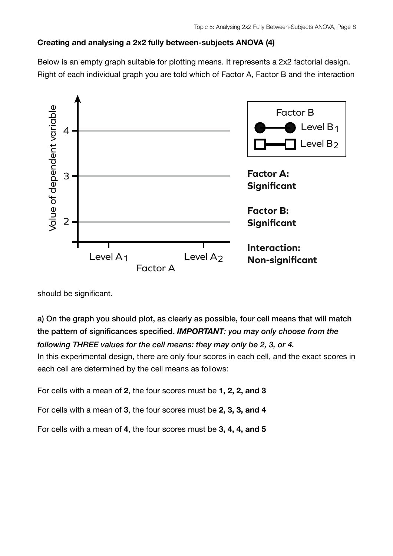## **Creating and analysing a 2x2 fully between-subjects ANOVA (4)**

Below is an empty graph suitable for plotting means. It represents a 2x2 factorial design. Right of each individual graph you are told which of Factor A, Factor B and the interaction



should be significant.

a) On the graph you should plot, as clearly as possible, four cell means that will match the pattern of significances specified. *IMPORTANT: you may only choose from the following THREE values for the cell means: they may only be 2, 3, or 4.* In this experimental design, there are only four scores in each cell, and the exact scores in

each cell are determined by the cell means as follows:

For cells with a mean of **2**, the four scores must be **1, 2, 2, and 3**

For cells with a mean of **3**, the four scores must be **2, 3, 3, and 4**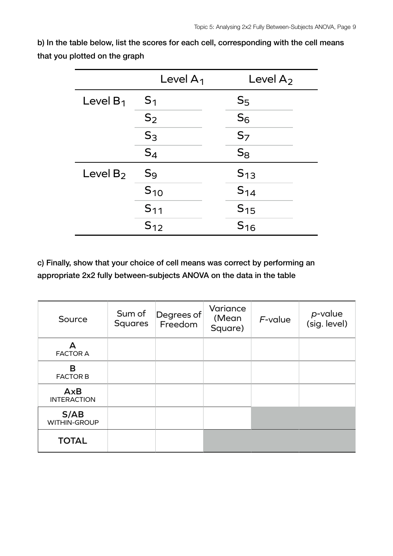|             | Level $A_1$      | Level $A_2$    |
|-------------|------------------|----------------|
| Level $B_1$ | S <sub>1</sub>   | S <sub>5</sub> |
|             | $S_2$            | $S_6$          |
|             | $S_3$            | S <sub>7</sub> |
|             | $S_4$            | $S_8$          |
| Level $B_2$ | $\mathsf{S}_{9}$ | $S_{13}$       |
|             | $S_{10}$         | $S_{14}$       |
|             | $S_{11}$         | $S_{15}$       |
|             | $S_{12}$         | $S_{16}$       |

| Source                           | Sum of<br><b>Squares</b> | Degrees of<br>Freedom | Variance<br>(Mean)<br>Square) | $F$ -value | p-value<br>(sig. level) |
|----------------------------------|--------------------------|-----------------------|-------------------------------|------------|-------------------------|
| А<br><b>FACTOR A</b>             |                          |                       |                               |            |                         |
| B<br><b>FACTOR B</b>             |                          |                       |                               |            |                         |
| <b>AxB</b><br><b>INTERACTION</b> |                          |                       |                               |            |                         |
| S/AB<br><b>WITHIN-GROUP</b>      |                          |                       |                               |            |                         |
| <b>TOTAL</b>                     |                          |                       |                               |            |                         |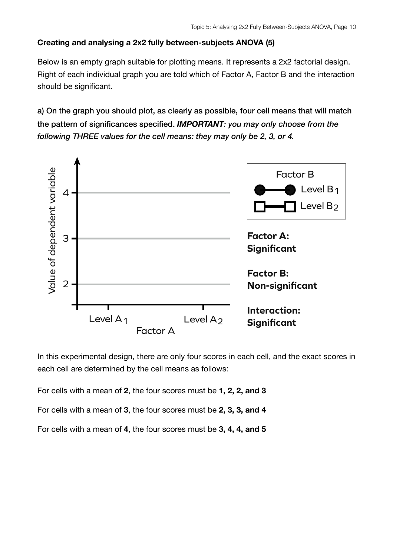### **Creating and analysing a 2x2 fully between-subjects ANOVA (5)**

Below is an empty graph suitable for plotting means. It represents a 2x2 factorial design. Right of each individual graph you are told which of Factor A, Factor B and the interaction should be significant.

a) On the graph you should plot, as clearly as possible, four cell means that will match the pattern of significances specified. *IMPORTANT: you may only choose from the following THREE values for the cell means: they may only be 2, 3, or 4.*



In this experimental design, there are only four scores in each cell, and the exact scores in each cell are determined by the cell means as follows:

For cells with a mean of **2**, the four scores must be **1, 2, 2, and 3**

For cells with a mean of **3**, the four scores must be **2, 3, 3, and 4**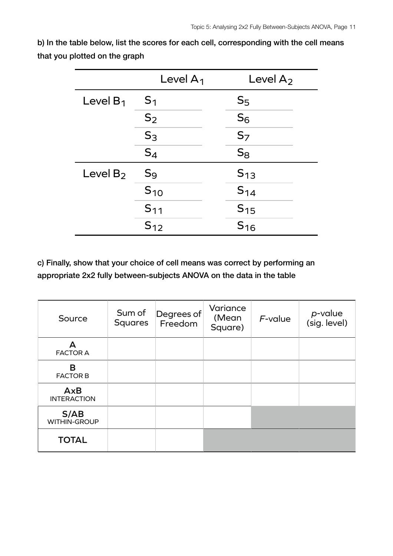|             | Level $A_1$    | Level $A_2$    |
|-------------|----------------|----------------|
| Level $B_1$ | $S_1$          | S <sub>5</sub> |
|             | $S_2$          | $S_6$          |
|             | S <sub>3</sub> | S <sub>7</sub> |
|             | $S_4$          | $S_8$          |
| Level $B_2$ | $S_9$          | $S_{13}$       |
|             | $S_{10}$       | $S_{14}$       |
|             | $S_{11}$       | $S_{15}$       |
|             | $S_{12}$       | $S_{16}$       |

| Source                           | Sum of<br><b>Squares</b> | Degrees of<br>Freedom | Variance<br>(Mean<br>Square) | $F$ -value | p-value<br>(sig. level) |
|----------------------------------|--------------------------|-----------------------|------------------------------|------------|-------------------------|
| А<br><b>FACTOR A</b>             |                          |                       |                              |            |                         |
| B<br><b>FACTOR B</b>             |                          |                       |                              |            |                         |
| <b>AxB</b><br><b>INTERACTION</b> |                          |                       |                              |            |                         |
| S/AB<br>WITHIN-GROUP             |                          |                       |                              |            |                         |
| <b>TOTAL</b>                     |                          |                       |                              |            |                         |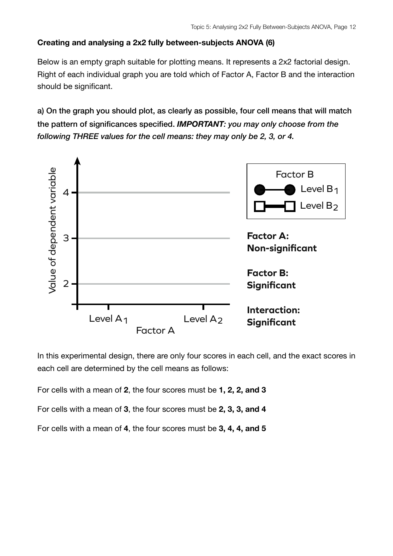### **Creating and analysing a 2x2 fully between-subjects ANOVA (6)**

Below is an empty graph suitable for plotting means. It represents a 2x2 factorial design. Right of each individual graph you are told which of Factor A, Factor B and the interaction should be significant.

a) On the graph you should plot, as clearly as possible, four cell means that will match the pattern of significances specified. *IMPORTANT: you may only choose from the following THREE values for the cell means: they may only be 2, 3, or 4.*



In this experimental design, there are only four scores in each cell, and the exact scores in each cell are determined by the cell means as follows:

For cells with a mean of **2**, the four scores must be **1, 2, 2, and 3**

For cells with a mean of **3**, the four scores must be **2, 3, 3, and 4**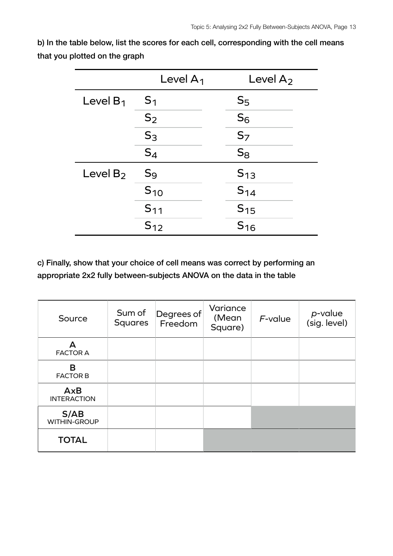|             | Level $A_1$ | Level $A_2$    |
|-------------|-------------|----------------|
| Level $B_1$ | $S_1$       | S <sub>5</sub> |
|             | $S_2$       | $S_6$          |
|             | $S_3$       | S <sub>7</sub> |
|             | $S_4$       | $S_8$          |
| Level $B_2$ | $S_9$       | $S_{13}$       |
|             | $S_{10}$    | $S_{14}$       |
|             | $S_{11}$    | $S_{15}$       |
|             | $S_{12}$    | $S_{16}$       |

| Source                           | Sum of<br><b>Squares</b> | Degrees of<br>Freedom | Variance<br>(Mean<br>Square) | $F$ -value | p-value<br>(sig. level) |
|----------------------------------|--------------------------|-----------------------|------------------------------|------------|-------------------------|
| А<br><b>FACTOR A</b>             |                          |                       |                              |            |                         |
| B<br><b>FACTOR B</b>             |                          |                       |                              |            |                         |
| <b>AxB</b><br><b>INTERACTION</b> |                          |                       |                              |            |                         |
| S/AB<br>WITHIN-GROUP             |                          |                       |                              |            |                         |
| <b>TOTAL</b>                     |                          |                       |                              |            |                         |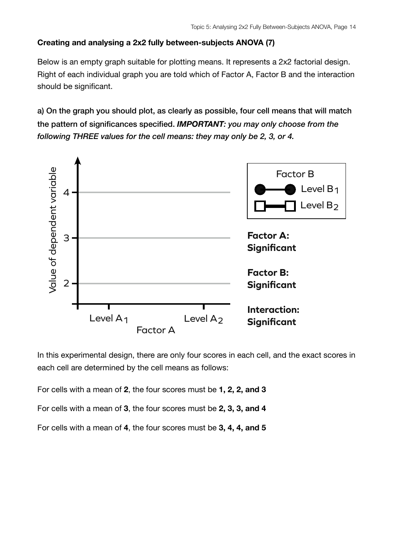## **Creating and analysing a 2x2 fully between-subjects ANOVA (7)**

Below is an empty graph suitable for plotting means. It represents a 2x2 factorial design. Right of each individual graph you are told which of Factor A, Factor B and the interaction should be significant.

a) On the graph you should plot, as clearly as possible, four cell means that will match the pattern of significances specified. *IMPORTANT: you may only choose from the following THREE values for the cell means: they may only be 2, 3, or 4.*



In this experimental design, there are only four scores in each cell, and the exact scores in each cell are determined by the cell means as follows:

For cells with a mean of **2**, the four scores must be **1, 2, 2, and 3**

For cells with a mean of **3**, the four scores must be **2, 3, 3, and 4**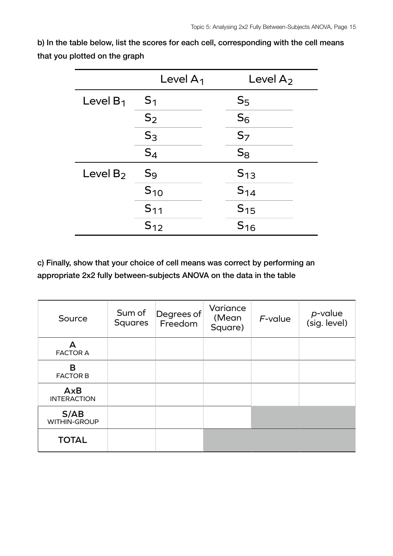|             | Level $A_1$ | Level $A_2$    |
|-------------|-------------|----------------|
| Level $B_1$ | $S_1$       | S <sub>5</sub> |
|             | $S_2$       | $S_6$          |
|             | $S_3$       | S <sub>7</sub> |
|             | $S_4$       | $S_8$          |
| Level $B_2$ | $S_9$       | $S_{13}$       |
|             | $S_{10}$    | $S_{14}$       |
|             | $S_{11}$    | $S_{15}$       |
|             | $S_{12}$    | $S_{16}$       |

| Source                           | Sum of<br><b>Squares</b> | Degrees of<br>Freedom | Variance<br>(Mean<br>Square) | $F$ -value | p-value<br>(sig. level) |
|----------------------------------|--------------------------|-----------------------|------------------------------|------------|-------------------------|
| А<br><b>FACTOR A</b>             |                          |                       |                              |            |                         |
| B<br><b>FACTOR B</b>             |                          |                       |                              |            |                         |
| <b>AxB</b><br><b>INTERACTION</b> |                          |                       |                              |            |                         |
| S/AB<br>WITHIN-GROUP             |                          |                       |                              |            |                         |
| <b>TOTAL</b>                     |                          |                       |                              |            |                         |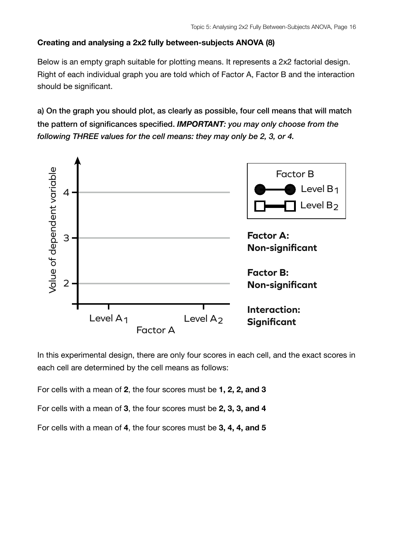### **Creating and analysing a 2x2 fully between-subjects ANOVA (8)**

Below is an empty graph suitable for plotting means. It represents a 2x2 factorial design. Right of each individual graph you are told which of Factor A, Factor B and the interaction should be significant.

a) On the graph you should plot, as clearly as possible, four cell means that will match the pattern of significances specified. *IMPORTANT: you may only choose from the following THREE values for the cell means: they may only be 2, 3, or 4.*



In this experimental design, there are only four scores in each cell, and the exact scores in each cell are determined by the cell means as follows:

For cells with a mean of **2**, the four scores must be **1, 2, 2, and 3**

For cells with a mean of **3**, the four scores must be **2, 3, 3, and 4**